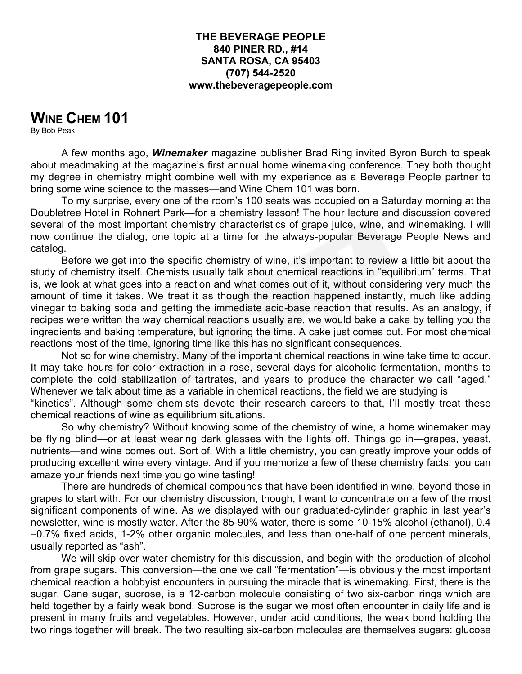#### **THE BEVERAGE PEOPLE 840 PINER RD., #14 SANTA ROSA, CA 95403 (707) 544-2520 www.thebeveragepeople.com**

# **WINE CHEM 101**

By Bob Peak

A few months ago, *Winemaker* magazine publisher Brad Ring invited Byron Burch to speak about meadmaking at the magazine's first annual home winemaking conference. They both thought my degree in chemistry might combine well with my experience as a Beverage People partner to bring some wine science to the masses—and Wine Chem 101 was born.

To my surprise, every one of the room's 100 seats was occupied on a Saturday morning at the Doubletree Hotel in Rohnert Park—for a chemistry lesson! The hour lecture and discussion covered several of the most important chemistry characteristics of grape juice, wine, and winemaking. I will now continue the dialog, one topic at a time for the always-popular Beverage People News and catalog.

Before we get into the specific chemistry of wine, it's important to review a little bit about the study of chemistry itself. Chemists usually talk about chemical reactions in "equilibrium" terms. That is, we look at what goes into a reaction and what comes out of it, without considering very much the amount of time it takes. We treat it as though the reaction happened instantly, much like adding vinegar to baking soda and getting the immediate acid-base reaction that results. As an analogy, if recipes were written the way chemical reactions usually are, we would bake a cake by telling you the ingredients and baking temperature, but ignoring the time. A cake just comes out. For most chemical reactions most of the time, ignoring time like this has no significant consequences.

Not so for wine chemistry. Many of the important chemical reactions in wine take time to occur. It may take hours for color extraction in a rose, several days for alcoholic fermentation, months to complete the cold stabilization of tartrates, and years to produce the character we call "aged." Whenever we talk about time as a variable in chemical reactions, the field we are studying is "kinetics". Although some chemists devote their research careers to that, I'll mostly treat these

chemical reactions of wine as equilibrium situations.

So why chemistry? Without knowing some of the chemistry of wine, a home winemaker may be flying blind—or at least wearing dark glasses with the lights off. Things go in—grapes, yeast, nutrients—and wine comes out. Sort of. With a little chemistry, you can greatly improve your odds of producing excellent wine every vintage. And if you memorize a few of these chemistry facts, you can amaze your friends next time you go wine tasting!

There are hundreds of chemical compounds that have been identified in wine, beyond those in grapes to start with. For our chemistry discussion, though, I want to concentrate on a few of the most significant components of wine. As we displayed with our graduated-cylinder graphic in last year's newsletter, wine is mostly water. After the 85-90% water, there is some 10-15% alcohol (ethanol), 0.4 –0.7% fixed acids, 1-2% other organic molecules, and less than one-half of one percent minerals, usually reported as "ash".

We will skip over water chemistry for this discussion, and begin with the production of alcohol from grape sugars. This conversion—the one we call "fermentation"—is obviously the most important chemical reaction a hobbyist encounters in pursuing the miracle that is winemaking. First, there is the sugar. Cane sugar, sucrose, is a 12-carbon molecule consisting of two six-carbon rings which are held together by a fairly weak bond. Sucrose is the sugar we most often encounter in daily life and is present in many fruits and vegetables. However, under acid conditions, the weak bond holding the two rings together will break. The two resulting six-carbon molecules are themselves sugars: glucose